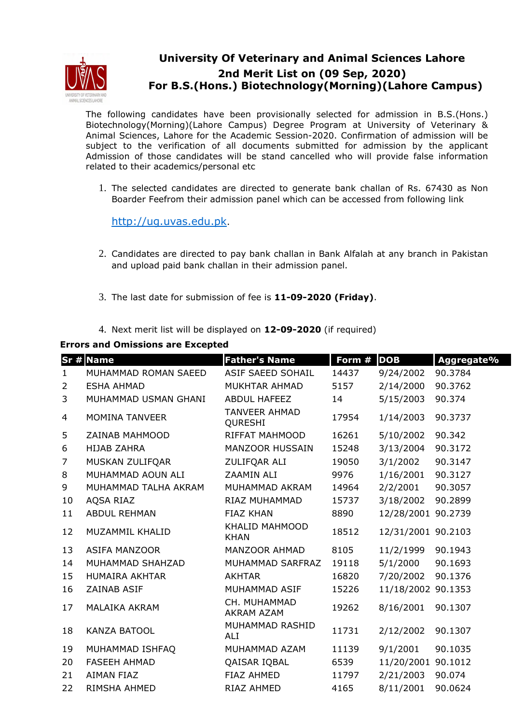

## **University Of Veterinary and Animal Sciences Lahore 2nd Merit List on (09 Sep, 2020) For B.S.(Hons.) Biotechnology(Morning)(Lahore Campus)**

The following candidates have been provisionally selected for admission in B.S.(Hons.) Biotechnology(Morning)(Lahore Campus) Degree Program at University of Veterinary & Animal Sciences, Lahore for the Academic Session-2020. Confirmation of admission will be subject to the verification of all documents submitted for admission by the applicant Admission of those candidates will be stand cancelled who will provide false information related to their academics/personal etc

1. The selected candidates are directed to generate bank challan of Rs. 67430 as Non Boarder Feefrom their admission panel which can be accessed from following link

http://ug.uvas.edu.pk.

- 2. Candidates are directed to pay bank challan in Bank Alfalah at any branch in Pakistan and upload paid bank challan in their admission panel.
- 3. The last date for submission of fee is **11-09-2020 (Friday)**.
- 4. Next merit list will be displayed on **12-09-2020** (if required)

## **Errors and Omissions are Excepted**

|              | Sr # Name             | <b>Father's Name</b>              | Form # | <b>DOB</b>         | Aggregate% |
|--------------|-----------------------|-----------------------------------|--------|--------------------|------------|
| $\mathbf{1}$ | MUHAMMAD ROMAN SAEED  | <b>ASIF SAEED SOHAIL</b>          | 14437  | 9/24/2002          | 90.3784    |
| 2            | <b>ESHA AHMAD</b>     | MUKHTAR AHMAD                     | 5157   | 2/14/2000          | 90.3762    |
| 3            | MUHAMMAD USMAN GHANI  | <b>ABDUL HAFEEZ</b>               | 14     | 5/15/2003          | 90.374     |
| 4            | <b>MOMINA TANVEER</b> | <b>TANVEER AHMAD</b><br>QURESHI   | 17954  | 1/14/2003          | 90.3737    |
| 5            | ZAINAB MAHMOOD        | <b>RIFFAT MAHMOOD</b>             | 16261  | 5/10/2002          | 90.342     |
| 6            | <b>HIJAB ZAHRA</b>    | <b>MANZOOR HUSSAIN</b>            | 15248  | 3/13/2004          | 90.3172    |
| 7            | MUSKAN ZULIFQAR       | ZULIFQAR ALI                      | 19050  | 3/1/2002           | 90.3147    |
| 8            | MUHAMMAD AOUN ALI     | ZAAMIN ALI                        | 9976   | 1/16/2001          | 90.3127    |
| 9            | MUHAMMAD TALHA AKRAM  | MUHAMMAD AKRAM                    | 14964  | 2/2/2001           | 90.3057    |
| 10           | AQSA RIAZ             | RIAZ MUHAMMAD                     | 15737  | 3/18/2002          | 90.2899    |
| 11           | <b>ABDUL REHMAN</b>   | <b>FIAZ KHAN</b>                  | 8890   | 12/28/2001 90.2739 |            |
| 12           | MUZAMMIL KHALID       | KHALID MAHMOOD<br><b>KHAN</b>     | 18512  | 12/31/2001 90.2103 |            |
| 13           | <b>ASIFA MANZOOR</b>  | MANZOOR AHMAD                     | 8105   | 11/2/1999          | 90.1943    |
| 14           | MUHAMMAD SHAHZAD      | MUHAMMAD SARFRAZ                  | 19118  | 5/1/2000           | 90.1693    |
| 15           | <b>HUMAIRA AKHTAR</b> | <b>AKHTAR</b>                     | 16820  | 7/20/2002          | 90.1376    |
| 16           | ZAINAB ASIF           | MUHAMMAD ASIF                     | 15226  | 11/18/2002 90.1353 |            |
| 17           | <b>MALAIKA AKRAM</b>  | CH. MUHAMMAD<br><b>AKRAM AZAM</b> | 19262  | 8/16/2001          | 90.1307    |
| 18           | <b>KANZA BATOOL</b>   | MUHAMMAD RASHID<br>ALI            | 11731  | 2/12/2002          | 90.1307    |
| 19           | MUHAMMAD ISHFAQ       | MUHAMMAD AZAM                     | 11139  | 9/1/2001           | 90.1035    |
| 20           | <b>FASEEH AHMAD</b>   | QAISAR IQBAL                      | 6539   | 11/20/2001 90.1012 |            |
| 21           | <b>AIMAN FIAZ</b>     | <b>FIAZ AHMED</b>                 | 11797  | 2/21/2003          | 90.074     |
| 22           | RIMSHA AHMED          | RIAZ AHMED                        | 4165   | 8/11/2001          | 90.0624    |